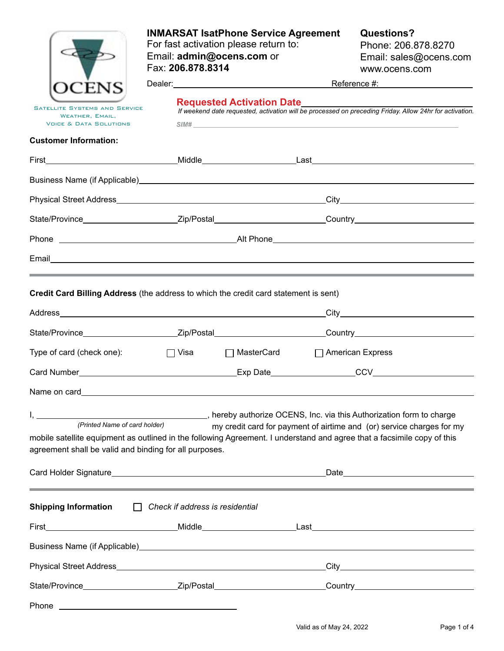|                                                                                                                                                                                                                    | <b>INMARSAT IsatPhone Service Agreement</b><br>For fast activation please return to:<br>Email: admin@ocens.com or<br>Fax: 206.878.8314                                                                                          |              |                  | <b>Questions?</b><br>Phone: 206.878.8270<br>Email: sales@ocens.com<br>www.ocens.com                             |  |  |
|--------------------------------------------------------------------------------------------------------------------------------------------------------------------------------------------------------------------|---------------------------------------------------------------------------------------------------------------------------------------------------------------------------------------------------------------------------------|--------------|------------------|-----------------------------------------------------------------------------------------------------------------|--|--|
|                                                                                                                                                                                                                    | Reference #: Network and Alexander Account Account Account Account Account Account Account Account Account Account Account Account Account Account Account Account Account Account Account Account Account Account Account Acc  |              |                  |                                                                                                                 |  |  |
| <b>SATELLITE SYSTEMS AND SERVICE</b><br>WEATHER, EMAIL,<br><b>VOICE &amp; DATA SOLUTIONS</b>                                                                                                                       | <b>Requested Activation Date</b> Manual Manual Manual Manual Manual Manual Manual Manual Manual Manual Manual Manual<br>If weekend date requested, activation will be processed on preceding Friday. Allow 24hr for activation. |              |                  |                                                                                                                 |  |  |
| <b>Customer Information:</b>                                                                                                                                                                                       |                                                                                                                                                                                                                                 |              |                  |                                                                                                                 |  |  |
|                                                                                                                                                                                                                    |                                                                                                                                                                                                                                 |              |                  |                                                                                                                 |  |  |
|                                                                                                                                                                                                                    |                                                                                                                                                                                                                                 |              |                  |                                                                                                                 |  |  |
|                                                                                                                                                                                                                    |                                                                                                                                                                                                                                 |              |                  |                                                                                                                 |  |  |
|                                                                                                                                                                                                                    |                                                                                                                                                                                                                                 |              |                  | State/Province_________________________Zip/Postal__________________________Country____________________________  |  |  |
|                                                                                                                                                                                                                    |                                                                                                                                                                                                                                 |              |                  |                                                                                                                 |  |  |
|                                                                                                                                                                                                                    |                                                                                                                                                                                                                                 |              |                  |                                                                                                                 |  |  |
| Credit Card Billing Address (the address to which the credit card statement is sent)                                                                                                                               |                                                                                                                                                                                                                                 |              |                  | the contract of the contract of the contract of the contract of the contract of the contract of the contract of |  |  |
|                                                                                                                                                                                                                    |                                                                                                                                                                                                                                 |              |                  |                                                                                                                 |  |  |
|                                                                                                                                                                                                                    |                                                                                                                                                                                                                                 |              |                  | State/Province__________________________Zip/Postal___________________________Country__________________________  |  |  |
| Type of card (check one):                                                                                                                                                                                          | $\Box$ Visa                                                                                                                                                                                                                     | □ MasterCard | American Express |                                                                                                                 |  |  |
|                                                                                                                                                                                                                    |                                                                                                                                                                                                                                 |              |                  |                                                                                                                 |  |  |
| Name on card <b>Name on card</b>                                                                                                                                                                                   |                                                                                                                                                                                                                                 |              |                  |                                                                                                                 |  |  |
| (Printed Name of card holder)<br>mobile satellite equipment as outlined in the following Agreement. I understand and agree that a facsimile copy of this<br>agreement shall be valid and binding for all purposes. |                                                                                                                                                                                                                                 |              |                  | my credit card for payment of airtime and (or) service charges for my                                           |  |  |
|                                                                                                                                                                                                                    |                                                                                                                                                                                                                                 |              |                  |                                                                                                                 |  |  |
| <b>Shipping Information</b>                                                                                                                                                                                        | $\Box$ Check if address is residential                                                                                                                                                                                          |              |                  |                                                                                                                 |  |  |
|                                                                                                                                                                                                                    |                                                                                                                                                                                                                                 |              |                  |                                                                                                                 |  |  |
|                                                                                                                                                                                                                    |                                                                                                                                                                                                                                 |              |                  |                                                                                                                 |  |  |
|                                                                                                                                                                                                                    |                                                                                                                                                                                                                                 |              |                  |                                                                                                                 |  |  |
|                                                                                                                                                                                                                    |                                                                                                                                                                                                                                 |              |                  | State/Province___________________________Zip/Postal____________________________Country________________________  |  |  |
| Phone                                                                                                                                                                                                              | <u> 1989 - Johann Barn, fransk politik (d. 1989)</u>                                                                                                                                                                            |              |                  |                                                                                                                 |  |  |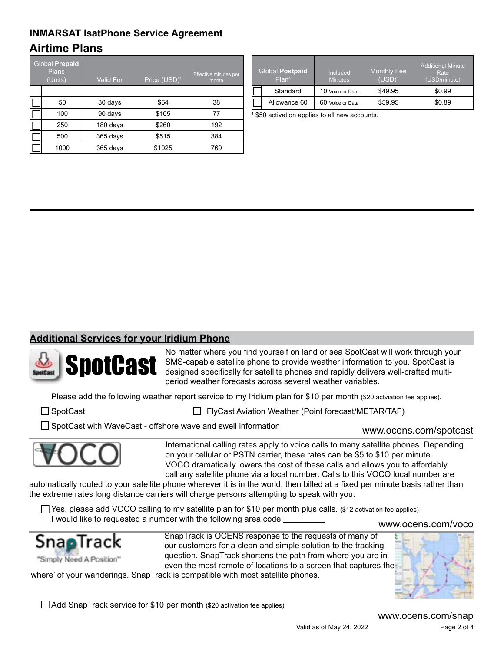# **Airtime Plans INMARSAT IsatPhone Service Agreement**

| Global Prepaid<br><b>Plans</b><br>(Units) | <b>Valid For</b> | Price (USD) <sup>1</sup> | Effective minutes per<br>month |
|-------------------------------------------|------------------|--------------------------|--------------------------------|
|                                           |                  |                          |                                |
| 50                                        | 30 days          | \$54                     | 38                             |
| 100                                       | 90 days          | \$105                    | 77                             |
| 250                                       | 180 days         | \$260                    | 192                            |
| 500                                       | 365 days         | \$515                    | 384                            |
| 1000                                      | 365 days         | \$1025                   | 769                            |

| <b>Global Postpaid</b><br>Plan <sup>4</sup> | Included<br><b>Minutes</b> | <b>Monthly Fee</b><br>$(USD)^1$ | <b>Additional Minute</b><br>Rate<br>(USD/minute) |
|---------------------------------------------|----------------------------|---------------------------------|--------------------------------------------------|
| Standard                                    | 10 Voice or Data           | \$49.95                         | \$0.99                                           |
| Allowance 60                                | 60 Voice or Data           | \$59.95                         | \$0.89                                           |

1 \$50 activation applies to all new accounts.

#### **Additional Services for your Iridium Phone**



No matter where you find yourself on land or sea SpotCast will work through your SMS-capable satellite phone to provide weather information to you. SpotCast is designed specifically for satellite phones and rapidly delivers well-crafted multiperiod weather forecasts across several weather variables.

Please add the following weather report service to my Iridium plan for \$10 per month (\$20 actviation fee applies).

□SpotCast FlyCast FlyCast Aviation Weather (Point forecast/METAR/TAF)

□ SpotCast with WaveCast - offshore wave and swell information



International calling rates apply to voice calls to many satellite phones. Depending on your cellular or PSTN carrier, these rates can be \$5 to \$10 per minute. VOCO dramatically lowers the cost of these calls and allows you to affordably call any satellite phone via a local number. Calls to this VOCO local number are

automatically routed to your satellite phone wherever it is in the world, then billed at a fixed per minute basis rather than the extreme rates long distance carriers will charge persons attempting to speak with you.

Yes, please add VOCO calling to my satellite plan for \$10 per month plus calls. (\$12 activation fee applies) I would like to requested a number with the following area code:

#### <www.ocens.com/voco>

www.ocens.com/spotcast



SnapTrack is OCENS response to the requests of many of our customers for a clean and simple solution to the tracking question. SnapTrack shortens the path from where you are in even the most remote of locations to a screen that captures the

'where' of your wanderings. SnapTrack is compatible with most satellite phones.

Add SnapTrack service for \$10 per month (\$20 activation fee applies)

Valid as of May 24, 2022 Page 2 of 4 <www.ocens.com/snap>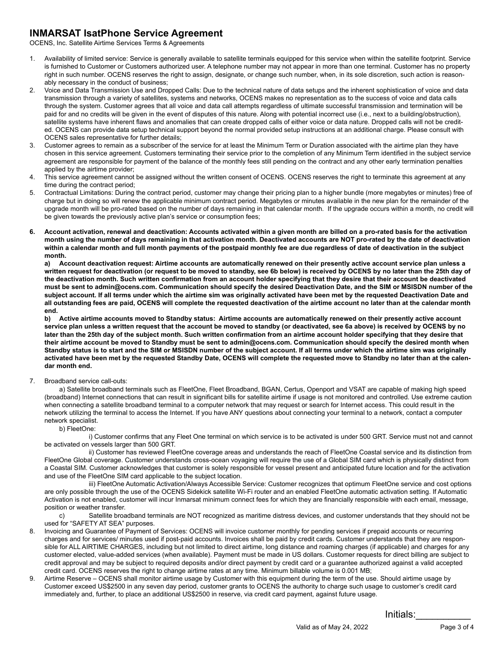#### **INMARSAT IsatPhone Service Agreement**

OCENS, Inc. Satellite Airtime Services Terms & Agreements

- 1. Availability of limited service: Service is generally available to satellite terminals equipped for this service when within the satellite footprint. Service is furnished to Customer or Customers authorized user. A telephone number may not appear in more than one terminal. Customer has no property right in such number. OCENS reserves the right to assign, designate, or change such number, when, in its sole discretion, such action is reasonably necessary in the conduct of business;
- 2. Voice and Data Transmission Use and Dropped Calls: Due to the technical nature of data setups and the inherent sophistication of voice and data transmission through a variety of satellites, systems and networks, OCENS makes no representation as to the success of voice and data calls through the system. Customer agrees that all voice and data call attempts regardless of ultimate successful transmission and termination will be paid for and no credits will be given in the event of disputes of this nature. Along with potential incorrect use (i.e., next to a building/obstruction), satellite systems have inherent flaws and anomalies that can create dropped calls of either voice or data nature. Dropped calls will not be credited. OCENS can provide data setup technical support beyond the normal provided setup instructions at an additional charge. Please consult with OCENS sales representative for further details;
- 3. Customer agrees to remain as a subscriber of the service for at least the Minimum Term or Duration associated with the airtime plan they have chosen in this service agreement. Customers terminating their service prior to the completion of any Minimum Term identified in the subject service agreement are responsible for payment of the balance of the monthly fees still pending on the contract and any other early termination penalties applied by the airtime provider;
- 4. This service agreement cannot be assigned without the written consent of OCENS. OCENS reserves the right to terminate this agreement at any time during the contract period;
- 5. Contractual Limitations: During the contract period, customer may change their pricing plan to a higher bundle (more megabytes or minutes) free of charge but in doing so will renew the applicable minimum contract period. Megabytes or minutes available in the new plan for the remainder of the upgrade month will be pro-rated based on the number of days remaining in that calendar month. If the upgrade occurs within a month, no credit will be given towards the previously active plan's service or consumption fees;
- **6. Account activation, renewal and deactivation: Accounts activated within a given month are billed on a pro-rated basis for the activation month using the number of days remaining in that activation month. Deactivated accounts are NOT pro-rated by the date of deactivation within a calendar month and full month payments of the postpaid monthly fee are due regardless of date of deactivation in the subject month.**

**a) Account deactivation request: Airtime accounts are automatically renewed on their presently active account service plan unless a written request for deactivation (or request to be moved to standby, see 6b below) is received by OCENS by no later than the 25th day of the deactivation month. Such written confirmation from an account holder specifying that they desire that their account be deactivated must be sent to admin@ocens.com. Communication should specify the desired Deactivation Date, and the SIM or MSISDN number of the subject account. If all terms under which the airtime sim was originally activated have been met by the requested Deactivation Date and all outstanding fees are paid, OCENS will complete the requested deactivation of the airtime account no later than at the calendar month end.**

**b) Active airtime accounts moved to Standby status: Airtime accounts are automatically renewed on their presently active account service plan unless a written request that the account be moved to standby (or deactivated, see 6a above) is received by OCENS by no later than the 25th day of the subject month. Such written confirmation from an airtime account holder specifying that they desire that their airtime account be moved to Standby must be sent to admin@ocens.com. Communication should specify the desired month when Standby status is to start and the SIM or MSISDN number of the subject account. If all terms under which the airtime sim was originally activated have been met by the requested Standby Date, OCENS will complete the requested move to Standby no later than at the calendar month end.**

7. Broadband service call-outs:

a) Satellite broadband terminals such as FleetOne, Fleet Broadband, BGAN, Certus, Openport and VSAT are capable of making high speed (broadband) Internet connections that can result in significant bills for satellite airtime if usage is not monitored and controlled. Use extreme caution when connecting a satellite broadband terminal to a computer network that may request or search for Internet access. This could result in the network utilizing the terminal to access the Internet. If you have ANY questions about connecting your terminal to a network, contact a computer network specialist.

#### b) FleetOne:

i) Customer confirms that any Fleet One terminal on which service is to be activated is under 500 GRT. Service must not and cannot be activated on vessels larger than 500 GRT.

 ii) Customer has reviewed FleetOne coverage areas and understands the reach of FleetOne Coastal service and its distinction from FleetOne Global coverage. Customer understands cross-ocean voyaging will require the use of a Global SIM card which is physically distinct from a Coastal SIM. Customer acknowledges that customer is solely responsible for vessel present and anticipated future location and for the activation and use of the FleetOne SIM card applicable to the subject location.

 iii) FleetOne Automatic Activation/Always Accessible Service: Customer recognizes that optimum FleetOne service and cost options are only possible through the use of the OCENS Sidekick satellite Wi-Fi router and an enabled FleetOne automatic activation setting. If Automatic Activation is not enabled, customer will incur Inmarsat minimum connect fees for which they are financially responsible with each email, message, position or weather transfer.

c) Satellite broadband terminals are NOT recognized as maritime distress devices, and customer understands that they should not be used for "SAFETY AT SEA" purposes.

- 8. Invoicing and Guarantee of Payment of Services: OCENS will invoice customer monthly for pending services if prepaid accounts or recurring charges and for services/ minutes used if post-paid accounts. Invoices shall be paid by credit cards. Customer understands that they are responsible for ALL AIRTIME CHARGES, including but not limited to direct airtime, long distance and roaming charges (if applicable) and charges for any customer elected, value-added services (when available). Payment must be made in US dollars. Customer requests for direct billing are subject to credit approval and may be subject to required deposits and/or direct payment by credit card or a guarantee authorized against a valid accepted credit card. OCENS reserves the right to change airtime rates at any time. Minimum billable volume is 0.001 MB;
- 9. Airtime Reserve OCENS shall monitor airtime usage by Customer with this equipment during the term of the use. Should airtime usage by Customer exceed US\$2500 in any seven day period, customer grants to OCENS the authority to charge such usage to customer's credit card immediately and, further, to place an additional US\$2500 in reserve, via credit card payment, against future usage.

Initials:\_\_\_\_\_\_\_\_\_\_